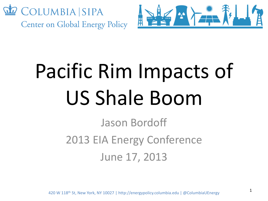



# Pacific Rim Impacts of US Shale Boom

Jason Bordoff 2013 EIA Energy Conference June 17, 2013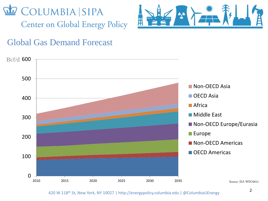



### Global Gas Demand Forecast

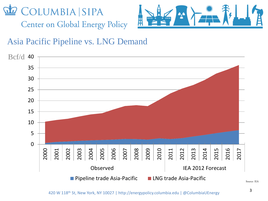



### Asia Pacific Pipeline vs. LNG Demand



Source: IEA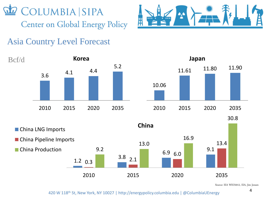



### Asia Country Level Forecast









Source: IEA WEO2012, EIA, Jim Jensen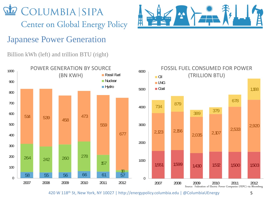



Billion kWh (left) and trillion BTU (right)



 $A, A$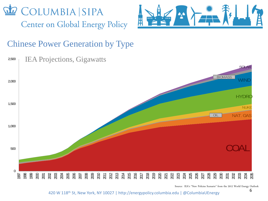



#### Chinese Power Generation by Type



Source: IEA's "New Policies Scenario" from the 2012 World Energy Outlook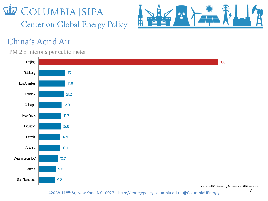



## China's Acrid Air

#### PM 2.5 microns per cubic meter



Source: WHO, Steven Q Andrews and RHG estimates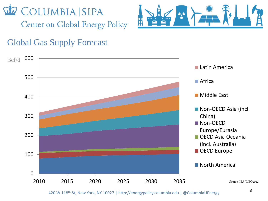



## Global Gas Supply Forecast

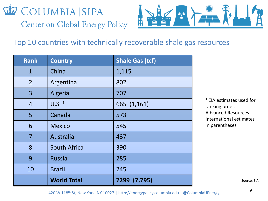



#### Top 10 countries with technically recoverable shale gas resources

| <b>Rank</b>    | <b>Country</b>      | <b>Shale Gas (tcf)</b> |
|----------------|---------------------|------------------------|
| $\mathbf{1}$   | China               | 1,115                  |
| $\overline{2}$ | Argentina           | 802                    |
| $\overline{3}$ | Algeria             | 707                    |
| $\overline{4}$ | $U.S.$ <sup>1</sup> | 665 (1,161)            |
| 5              | Canada              | 573                    |
| 6              | <b>Mexico</b>       | 545                    |
| 7              | Australia           | 437                    |
| 8              | <b>South Africa</b> | 390                    |
| 9              | <b>Russia</b>       | 285                    |
| 10             | <b>Brazil</b>       | 245                    |
|                | <b>World Total</b>  | 7299 (7,795)           |

<sup>1</sup> EIA estimates used for ranking order. Advanced Resources International estimates in parentheses

Source: EIA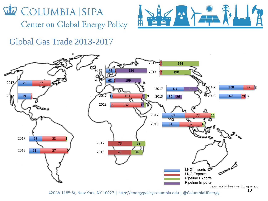



#### Global Gas Trade 2013-2017

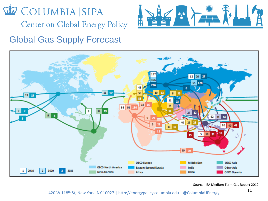

COLUMBIA SIPA

**Center on Global Energy Policy** 





Source: IEA Medium Term Gas Report 2012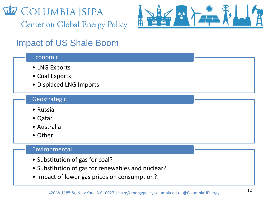



## Impact of US Shale Boom

#### Economic

- LNG Exports
- Coal Exports
- Displaced LNG Imports

#### Geostrategic

- Russia
- Qatar
- Australia
- Other

#### Environmental

- Substitution of gas for coal?
- Substitution of gas for renewables and nuclear?
- Impact of lower gas prices on consumption?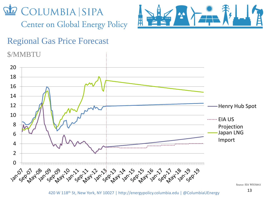

**Center on Global Energy Policy** 



#### Regional Gas Price Forecast

\$/MMBTU

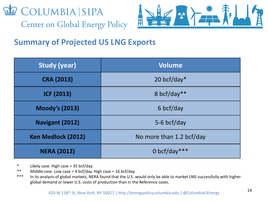



#### **Summary of Projected US LNG Exports**

| <b>Study (year)</b>       | <b>Volume</b>            |  |
|---------------------------|--------------------------|--|
| <b>CRA (2013)</b>         | 20 bcf/day $*$           |  |
| <b>ICF (2013)</b>         | 8 bcf/day**              |  |
| <b>Moody's (2013)</b>     | 6 bcf/day                |  |
| Navigant (2012)           | 5-6 bcf/day              |  |
| <b>Ken Medlock (2012)</b> | No more than 1.2 bcf/day |  |
| <b>NERA (2012)</b>        | 0 bcf/day***             |  |

\* Likely case. High case = 35 bcf/day.

- \*\* Middle case. Low case = 4 bcf/day. High case = 16 bcf/day.
- \*\*\* In its analysis of global markets, NERA found that the U.S. would only be able to market LNG successfully with higher global demand or lower U.S. costs of production than in the Reference cases.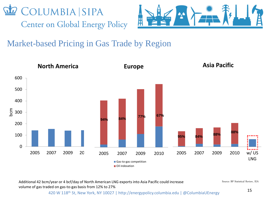



## Market-based Pricing in Gas Trade by Region



Additional 42 bcm/year or 4 bcf/day of North American LNG exports into Asia Pacific could increase volume of gas traded on gas-to-gas basis from 12% to 27%

Source: BP Statistical Review, IEA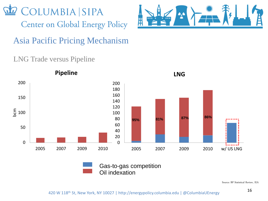



Asia Pacific Pricing Mechanism

#### LNG Trade versus Pipeline



Gas-to-gas competition Oil indexation

Source: BP Statistical Review, IEA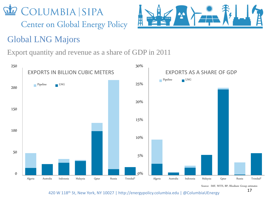



## Global LNG Majors

Export quantity and revenue as a share of GDP in 2011



Source: IMF, WITS, BP, Rhodium Group estimates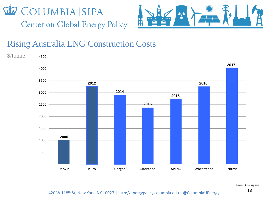



#### Rising Australia LNG Construction Costs



Source: Press reports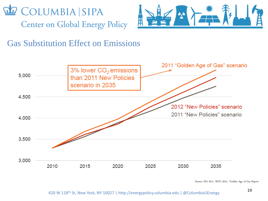



Gas Substitution Effect on Emissions



Source: IEA 2011, WEO 2012, "Golden Age of Gas Report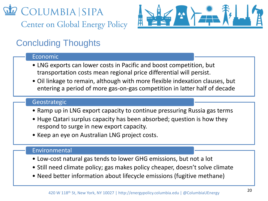**COLUMBIA SIPA Center on Global Energy Policy** 



## Concluding Thoughts

#### Economic

- LNG exports can lower costs in Pacific and boost competition, but transportation costs mean regional price differential will persist.
- Oil linkage to remain, although with more flexible indexation clauses, but entering a period of more gas-on-gas competition in latter half of decade

#### Geostrategic

- Ramp up in LNG export capacity to continue pressuring Russia gas terms
- Huge Qatari surplus capacity has been absorbed; question is how they respond to surge in new export capacity.
- Keep an eye on Australian LNG project costs.

#### Environmental

- Low-cost natural gas tends to lower GHG emissions, but not a lot
- Still need climate policy; gas makes policy cheaper, doesn't solve climate
- Need better information about lifecycle emissions (fugitive methane)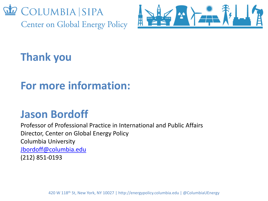



# **Thank you**

# **For more information:**

## **Jason Bordoff**

Professor of Professional Practice in International and Public Affairs Director, Center on Global Energy Policy Columbia University [Jbordoff@columbia.edu](mailto:Jbordoff@columbia.edu) (212) 851-0193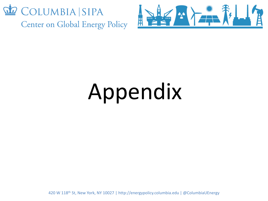



# Appendix